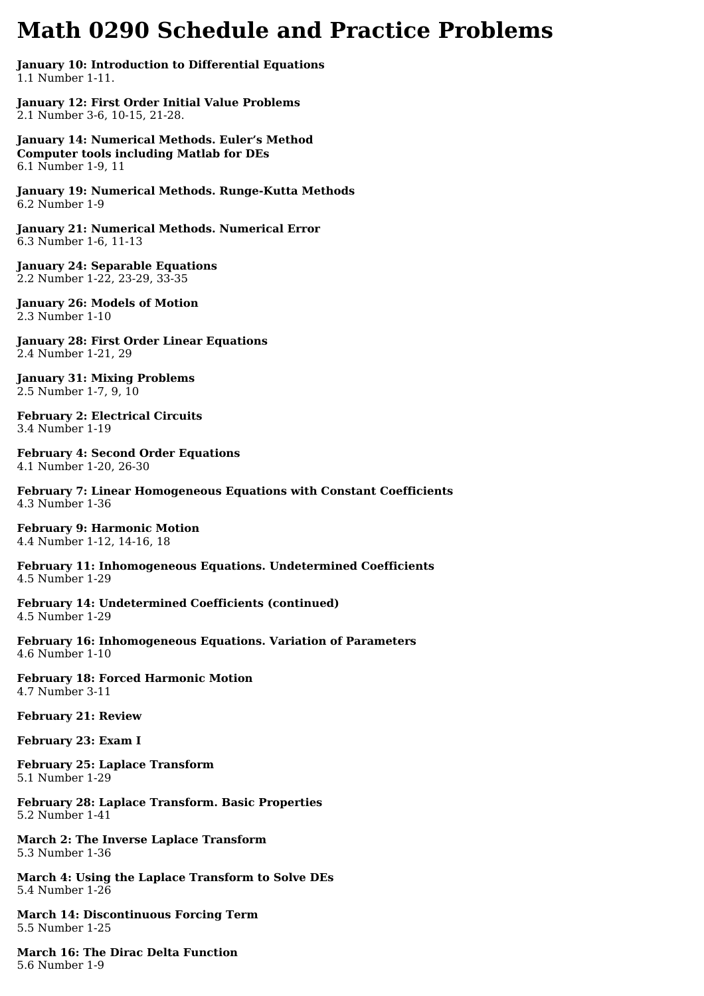## **Math 0290 Schedule and Practice Problems**

**January 10: Introduction to Differential Equations** 1.1 Number 1-11.

**January 12: First Order Initial Value Problems** 2.1 Number 3-6, 10-15, 21-28.

**January 14: Numerical Methods. Euler's Method Computer tools including Matlab for DEs** 6.1 Number 1-9, 11

**January 19: Numerical Methods. Runge-Kutta Methods** 6.2 Number 1-9

**January 21: Numerical Methods. Numerical Error** 6.3 Number 1-6, 11-13

**January 24: Separable Equations** 2.2 Number 1-22, 23-29, 33-35

**January 26: Models of Motion** 2.3 Number 1-10

**January 28: First Order Linear Equations** 2.4 Number 1-21, 29

**January 31: Mixing Problems** 2.5 Number 1-7, 9, 10

**February 2: Electrical Circuits** 3.4 Number 1-19

**February 4: Second Order Equations** 4.1 Number 1-20, 26-30

**February 7: Linear Homogeneous Equations with Constant Coefficients** 4.3 Number 1-36

**February 9: Harmonic Motion** 4.4 Number 1-12, 14-16, 18

**February 11: Inhomogeneous Equations. Undetermined Coefficients** 4.5 Number 1-29

**February 14: Undetermined Coefficients (continued)** 4.5 Number 1-29

**February 16: Inhomogeneous Equations. Variation of Parameters** 4.6 Number 1-10

**February 18: Forced Harmonic Motion** 4.7 Number 3-11

**February 21: Review**

**February 23: Exam I**

**February 25: Laplace Transform** 5.1 Number 1-29

**February 28: Laplace Transform. Basic Properties** 5.2 Number 1-41

**March 2: The Inverse Laplace Transform** 5.3 Number 1-36

**March 4: Using the Laplace Transform to Solve DEs** 5.4 Number 1-26

**March 14: Discontinuous Forcing Term** 5.5 Number 1-25

**March 16: The Dirac Delta Function** 5.6 Number 1-9